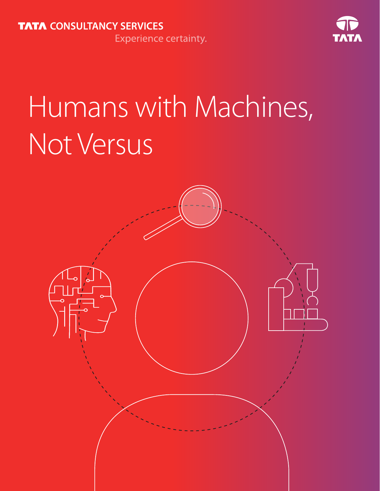

# Humans with Machines, Not Versus

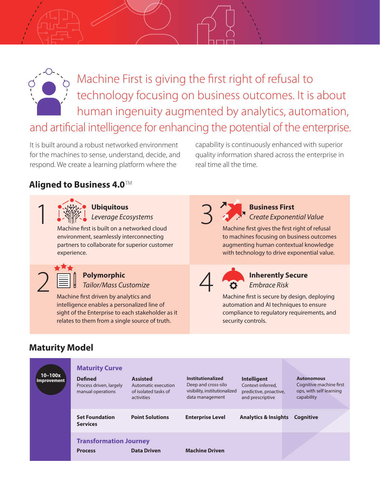

Machine First is giving the first right of refusal to technology focusing on business outcomes. It is about human ingenuity augmented by analytics, automation,

and artificial intelligence for enhancing the potential of the enterprise.

It is built around a robust networked environment for the machines to sense, understand, decide, and respond. We create a learning platform where the

capability is continuously enhanced with superior quality information shared across the enterprise in real time all the time.

#### **Aligned to Business 4.0**™



Ubiquitous<br>
Leverage Ecosystems<br>
is built on a networked cloud *Leverage Ecosystems*

Machine first is built on a networked cloud environment, seamlessly interconnecting partners to collaborate for superior customer experience.

2

#### **Polymorphic**

*Tailor/Mass Customize*

Machine first driven by analytics and intelligence enables a personalized line of sight of the Enterprise to each stakeholder as it relates to them from a single source of truth.



**Business First** *Create Exponential Value*

Machine first gives the first right of refusal to machines focusing on business outcomes augmenting human contextual knowledge with technology to drive exponential value.



## **Inherently Secure**

*Embrace Risk*

Machine first is secure by design, deploying automation and AI techniques to ensure compliance to regulatory requirements, and security controls.

#### **Maturity Model**

| $10 - 100x$<br><b>Improvement</b> | <b>Maturity Curve</b>                                          |                                                                              |                                                                                              |                                                                                       |                                                                                       |
|-----------------------------------|----------------------------------------------------------------|------------------------------------------------------------------------------|----------------------------------------------------------------------------------------------|---------------------------------------------------------------------------------------|---------------------------------------------------------------------------------------|
|                                   | <b>Defined</b><br>Process driven, largely<br>manual operations | <b>Assisted</b><br>Automatic execution<br>of isolated tasks of<br>activities | Institutionalized<br>Deep and cross-silo<br>visibility, institutionalized<br>data management | <b>Intelligent</b><br>Context-inferred.<br>predictive, proactive,<br>and prescriptive | <b>Autonomous</b><br>Cognitive machine first<br>ops, with self learning<br>capability |
|                                   | <b>Set Foundation</b><br><b>Services</b>                       | <b>Point Solutions</b>                                                       | <b>Enterprise Level</b>                                                                      | <b>Analytics &amp; Insights</b>                                                       | Cognitive                                                                             |
|                                   | <b>Transformation Journey</b><br><b>Process</b>                | <b>Data Driven</b>                                                           | <b>Machine Driven</b>                                                                        |                                                                                       |                                                                                       |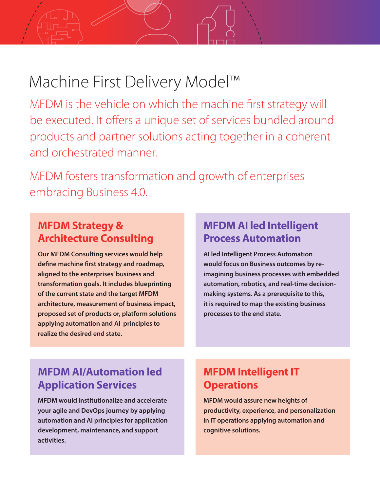# Machine First Delivery Model™

MFDM is the vehicle on which the machine first strategy will be executed. It offers a unique set of services bundled around products and partner solutions acting together in a coherent and orchestrated manner.

MFDM fosters transformation and growth of enterprises embracing Business 4.0.

#### **MFDM Strategy & Architecture Consulting**

**Our MFDM Consulting services would help define machine first strategy and roadmap, aligned to the enterprises' business and transformation goals. It includes blueprinting of the current state and the target MFDM architecture, measurement of business impact, proposed set of products or, platform solutions applying automation and AI principles to realize the desired end state.**

#### **MFDM AI led Intelligent Process Automation**

**AI led Intelligent Process Automation would focus on Business outcomes by reimagining business processes with embedded automation, robotics, and real-time decisionmaking systems. As a prerequisite to this, it is required to map the existing business processes to the end state.**

#### **MFDM AI/Automation led Application Services**

**MFDM would institutionalize and accelerate your agile and DevOps journey by applying automation and AI principles for application development, maintenance, and support activities.**

### **MFDM Intelligent IT Operations**

**MFDM would assure new heights of productivity, experience, and personalization in IT operations applying automation and cognitive solutions.**